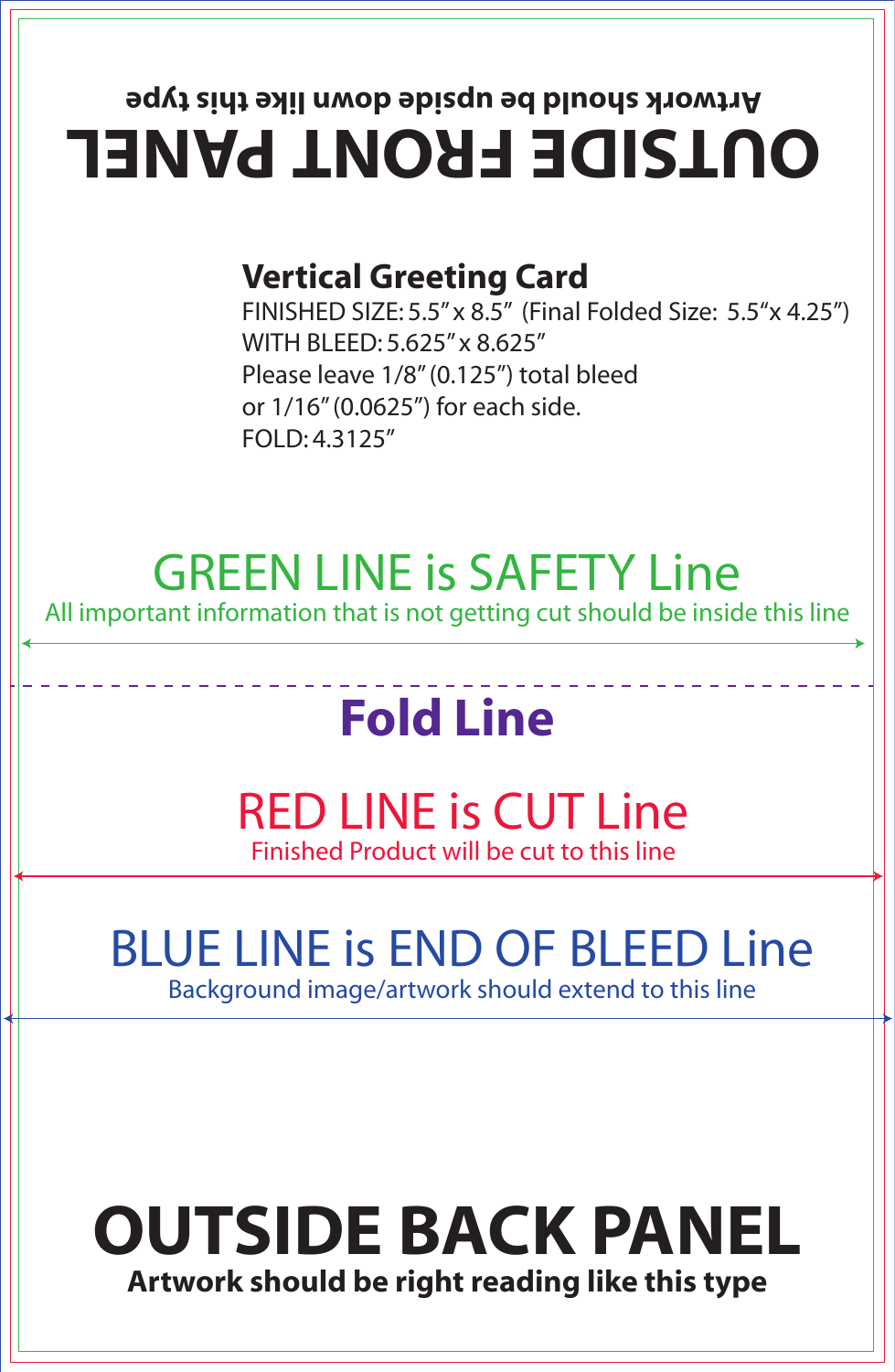## **OUTSIDE FRONT PANEL Artwork should be upside down like this type**

#### **Vertical Greeting Card**

FINISHED SIZE: 5.5" x 8.5" (Final Folded Size: 5.5"x 4.25") WITH BLEED: 5.625" x 8.625" Please leave 1/8" (0.125") total bleed or 1/16" (0.0625") for each side. FOLD: 4.3125"

### GREEN LINE is SAFETY Line

All important information that is not getting cut should be inside this line

## **Fold Line**

#### RED LINE is CUT Line Finished Product will be cut to this line

## BLUE LINE is END OF BLEED Line

Background image/artwork should extend to this line

### **OUTSIDE BACK PANEL Artwork should be right reading like this type**